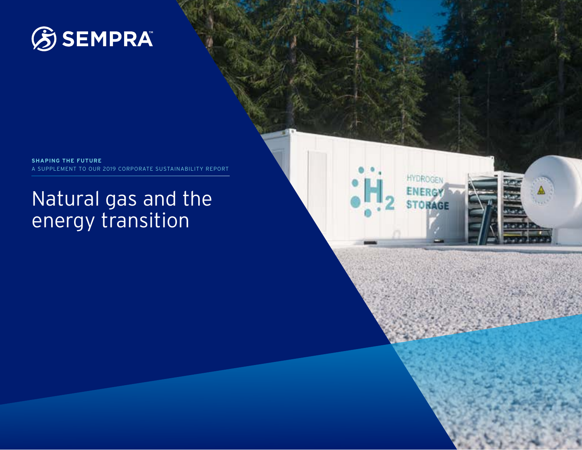

**SHAPING THE FUTURE** A SUPPLEMENT TO OUR 2019 CORPORATE SUSTAINABILITY REPORT

# Natural gas and the energy transition

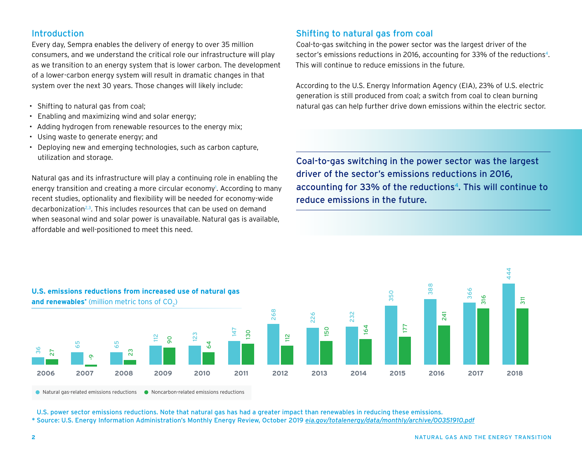## Introduction

Every day, Sempra enables the delivery of energy to over 35 million consumers, and we understand the critical role our infrastructure will play as we transition to an energy system that is lower carbon. The development of a lower-carbon energy system will result in dramatic changes in that system over the next 30 years. Those changes will likely include:

- Shifting to natural gas from coal;
- Enabling and maximizing wind and solar energy;
- Adding hydrogen from renewable resources to the energy mix;
- Using waste to generate energy; and
- Deploying new and emerging technologies, such as carbon capture, utilization and storage.

Natural gas and its infrastructure will play a continuing role in enabling the energy transition and creating a more circular economy<sup>1</sup>. According to many recent studies, optionality and flexibility will be needed for economy-wide decarbonization<sup>2,3</sup>. This includes resources that can be used on demand when seasonal wind and solar power is unavailable. Natural gas is available, affordable and well-positioned to meet this need.

## Shifting to natural gas from coal

Coal-to-gas switching in the power sector was the largest driver of the sector's emissions reductions in 2016, accounting for 33% of the reductions<sup>4</sup>. This will continue to reduce emissions in the future.

According to the U.S. Energy Information Agency (EIA), 23% of U.S. electric generation is still produced from coal; a switch from coal to clean burning natural gas can help further drive down emissions within the electric sector.

Coal-to-gas switching in the power sector was the largest driver of the sector's emissions reductions in 2016, accounting for 33% of the reductions<sup>4</sup>. This will continue to reduce emissions in the future.



U.S. power sector emissions reductions. Note that natural gas has had a greater impact than renewables in reducing these emissions.

*\** Source: U.S. Energy Information Administration's Monthly Energy Review, October 2019 *[eia.gov/totalenergy/data/monthly/archive/00351910.pdf](http://eia.gov/totalenergy/data/monthly/archive/00351910.pdf)*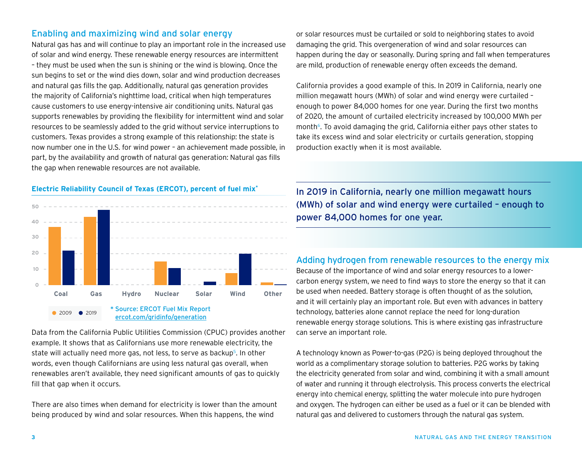## Enabling and maximizing wind and solar energy

Natural gas has and will continue to play an important role in the increased use of solar and wind energy. These renewable energy resources are intermittent – they must be used when the sun is shining or the wind is blowing. Once the sun begins to set or the wind dies down, solar and wind production decreases and natural gas fills the gap. Additionally, natural gas generation provides the majority of California's nighttime load, critical when high temperatures cause customers to use energy-intensive air conditioning units. Natural gas supports renewables by providing the flexibility for intermittent wind and solar resources to be seamlessly added to the grid without service interruptions to customers. Texas provides a strong example of this relationship: the state is now number one in the U.S. for wind power – an achievement made possible, in part, by the availability and growth of natural gas generation: Natural gas fills the gap when renewable resources are not available.

#### **Electric Reliability Council of Texas (ERCOT), percent of fuel mix\***



Data from the California Public Utilities Commission (CPUC) provides another example. It shows that as Californians use more renewable electricity, the state will actually need more gas, not less, to serve as backup<sup>5</sup>. In other words, even though Californians are using less natural gas overall, when renewables aren't available, they need significant amounts of gas to quickly fill that gap when it occurs.

There are also times when demand for electricity is lower than the amount being produced by wind and solar resources. When this happens, the wind

or solar resources must be curtailed or sold to neighboring states to avoid damaging the grid. This overgeneration of wind and solar resources can happen during the day or seasonally. During spring and fall when temperatures are mild, production of renewable energy often exceeds the demand.

California provides a good example of this. In 2019 in California, nearly one million megawatt hours (MWh) of solar and wind energy were curtailed – enough to power 84,000 homes for one year. During the first two months of 2020, the amount of curtailed electricity increased by 100,000 MWh per month<sup>6</sup>. To avoid damaging the grid, California either pays other states to take its excess wind and solar electricity or curtails generation, stopping production exactly when it is most available.

In 2019 in California, nearly one million megawatt hours (MWh) of solar and wind energy were curtailed – enough to power 84,000 homes for one year.

## Adding hydrogen from renewable resources to the energy mix

Because of the importance of wind and solar energy resources to a lowercarbon energy system, we need to find ways to store the energy so that it can be used when needed. Battery storage is often thought of as the solution, and it will certainly play an important role. But even with advances in battery technology, batteries alone cannot replace the need for long-duration renewable energy storage solutions. This is where existing gas infrastructure can serve an important role.

A technology known as Power-to-gas (P2G) is being deployed throughout the world as a complimentary storage solution to batteries. P2G works by taking the electricity generated from solar and wind, combining it with a small amount of water and running it through electrolysis. This process converts the electrical energy into chemical energy, splitting the water molecule into pure hydrogen and oxygen. The hydrogen can either be used as a fuel or it can be blended with natural gas and delivered to customers through the natural gas system.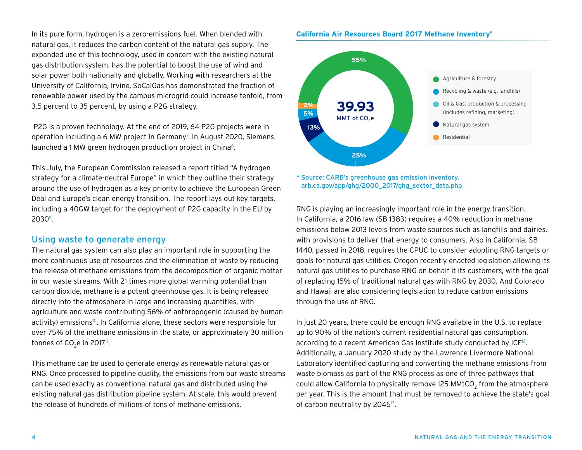In its pure form, hydrogen is a zero-emissions fuel. When blended with natural gas, it reduces the carbon content of the natural gas supply. The expanded use of this technology, used in concert with the existing natural gas distribution system, has the potential to boost the use of wind and solar power both nationally and globally. Working with researchers at the University of California, Irvine, SoCalGas has demonstrated the fraction of renewable power used by the campus microgrid could increase tenfold, from 3.5 percent to 35 percent, by using a P2G strategy.

 P2G is a proven technology. At the end of 2019, 64 P2G projects were in operation including a 6 MW project in Germany<sup>7</sup>. In August 2020, Siemens launched a 1 MW green hydrogen production project in China<sup>8</sup>.

This July, the European Commission released a report titled "A hydrogen strategy for a climate-neutral Europe" in which they outline their strategy around the use of hydrogen as a key priority to achieve the European Green Deal and Europe's clean energy transition. The report lays out key targets, including a 40GW target for the deployment of P2G capacity in the EU by 2030°.

## Using waste to generate energy

The natural gas system can also play an important role in supporting the more continuous use of resources and the elimination of waste by reducing the release of methane emissions from the decomposition of organic matter in our waste streams. With 21 times more global warming potential than carbon dioxide, methane is a potent greenhouse gas. It is being released directly into the atmosphere in large and increasing quantities, with agriculture and waste contributing 56% of anthropogenic (caused by human activity) emissions<sup>10</sup>. In California alone, these sectors were responsible for over 75% of the methane emissions in the state, or approximately 30 million tonnes of CO<sub>2</sub>e in 2017".

This methane can be used to generate energy as renewable natural gas or RNG. Once processed to pipeline quality, the emissions from our waste streams can be used exactly as conventional natural gas and distributed using the existing natural gas distribution pipeline system. At scale, this would prevent the release of hundreds of millions of tons of methane emissions.

#### **California Air Resources Board 2017 Methane Inventory\***



*\** Source: CARB's greenhouse gas emission inventory, [arb.ca.gov/app/ghg/2000\\_2017/ghg\\_sector\\_data.php](http://arb.ca.gov/app/ghg/2000_2017/ghg_sector_data.php)

RNG is playing an increasingly important role in the energy transition. In California, a 2016 law (SB 1383) requires a 40% reduction in methane emissions below 2013 levels from waste sources such as landfills and dairies, with provisions to deliver that energy to consumers. Also in California, SB 1440, passed in 2018, requires the CPUC to consider adopting RNG targets or goals for natural gas utilities. Oregon recently enacted legislation allowing its natural gas utilities to purchase RNG on behalf it its customers, with the goal of replacing 15% of traditional natural gas with RNG by 2030. And Colorado and Hawaii are also considering legislation to reduce carbon emissions through the use of RNG.

In just 20 years, there could be enough RNG available in the U.S. to replace up to 90% of the nation's current residential natural gas consumption, according to a recent American Gas Institute study conducted by ICF<sup>12</sup>. Additionally, a January 2020 study by the Lawrence Livermore National Laboratory identified capturing and converting the methane emissions from waste biomass as part of the RNG process as one of three pathways that could allow California to physically remove 125 MMtCO<sub>2</sub> from the atmosphere per year. This is the amount that must be removed to achieve the state's goal of carbon neutrality by 2045<sup>13</sup>.